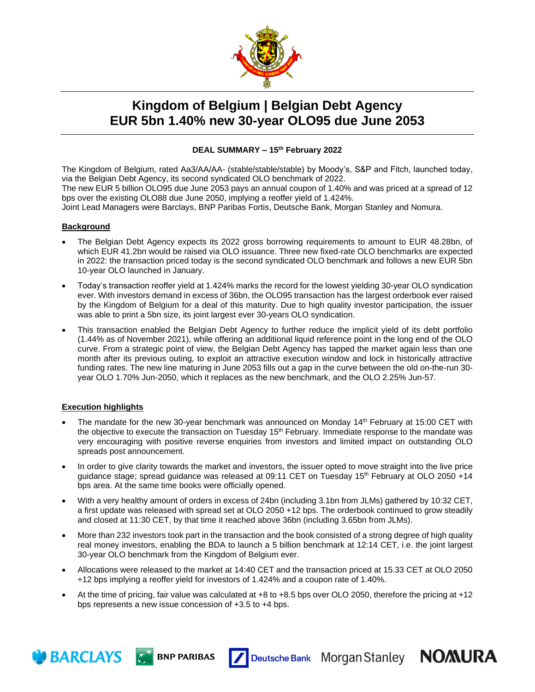

# **Kingdom of Belgium | Belgian Debt Agency EUR 5bn 1.40% new 30-year OLO95 due June 2053**

## **DEAL SUMMARY – 15th February 2022**

The Kingdom of Belgium, rated Aa3/AA/AA- (stable/stable/stable) by Moody's, S&P and Fitch, launched today, via the Belgian Debt Agency, its second syndicated OLO benchmark of 2022.

The new EUR 5 billion OLO95 due June 2053 pays an annual coupon of 1.40% and was priced at a spread of 12 bps over the existing OLO88 due June 2050, implying a reoffer yield of 1.424%.

Joint Lead Managers were Barclays, BNP Paribas Fortis, Deutsche Bank, Morgan Stanley and Nomura.

#### **Background**

- The Belgian Debt Agency expects its 2022 gross borrowing requirements to amount to EUR 48.28bn, of which EUR 41.2bn would be raised via OLO issuance. Three new fixed-rate OLO benchmarks are expected in 2022: the transaction priced today is the second syndicated OLO benchmark and follows a new EUR 5bn 10-year OLO launched in January.
- Today's transaction reoffer yield at 1.424% marks the record for the lowest yielding 30-year OLO syndication ever. With investors demand in excess of 36bn, the OLO95 transaction has the largest orderbook ever raised by the Kingdom of Belgium for a deal of this maturity. Due to high quality investor participation, the issuer was able to print a 5bn size, its joint largest ever 30-years OLO syndication.
- This transaction enabled the Belgian Debt Agency to further reduce the implicit yield of its debt portfolio (1.44% as of November 2021), while offering an additional liquid reference point in the long end of the OLO curve. From a strategic point of view, the Belgian Debt Agency has tapped the market again less than one month after its previous outing, to exploit an attractive execution window and lock in historically attractive funding rates. The new line maturing in June 2053 fills out a gap in the curve between the old on-the-run 30 year OLO 1.70% Jun-2050, which it replaces as the new benchmark, and the OLO 2.25% Jun-57.

### **Execution highlights**

**BARCLAYS C**<sup>1</sup> BNP PARIBAS

- The mandate for the new 30-year benchmark was announced on Monday 14<sup>th</sup> February at 15:00 CET with the objective to execute the transaction on Tuesday 15<sup>th</sup> February. Immediate response to the mandate was very encouraging with positive reverse enquiries from investors and limited impact on outstanding OLO spreads post announcement.
- In order to give clarity towards the market and investors, the issuer opted to move straight into the live price guidance stage; spread guidance was released at 09:11 CET on Tuesday 15<sup>th</sup> February at OLO 2050 +14 bps area. At the same time books were officially opened.
- With a very healthy amount of orders in excess of 24bn (including 3.1bn from JLMs) gathered by 10:32 CET, a first update was released with spread set at OLO 2050 +12 bps. The orderbook continued to grow steadily and closed at 11:30 CET, by that time it reached above 36bn (including 3.65bn from JLMs).
- More than 232 investors took part in the transaction and the book consisted of a strong degree of high quality real money investors, enabling the BDA to launch a 5 billion benchmark at 12:14 CET, i.e. the joint largest 30-year OLO benchmark from the Kingdom of Belgium ever.
- Allocations were released to the market at 14:40 CET and the transaction priced at 15.33 CET at OLO 2050 +12 bps implying a reoffer yield for investors of 1.424% and a coupon rate of 1.40%.
- At the time of pricing, fair value was calculated at +8 to +8.5 bps over OLO 2050, therefore the pricing at +12 bps represents a new issue concession of +3.5 to +4 bps.

Deutsche Bank Morgan Stanley NOMURA